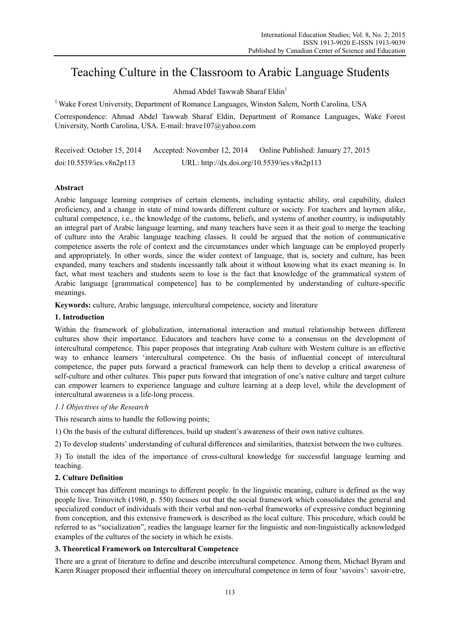# Teaching Culture in the Classroom to Arabic Language Students

Ahmad Abdel Tawwab Sharaf Eldin<sup>1</sup>

<sup>1</sup> Wake Forest University, Department of Romance Languages, Winston Salem, North Carolina, USA

Correspondence: Ahmad Abdel Tawwab Sharaf Eldin, Department of Romance Languages, Wake Forest University, North Carolina, USA. E-mail: brave107@yahoo.com

| Received: October 15, 2014 | Accepted: November 12, 2014                 | Online Published: January 27, 2015 |
|----------------------------|---------------------------------------------|------------------------------------|
| doi:10.5539/ies.v8n2p113   | URL: http://dx.doi.org/10.5539/ies.v8n2p113 |                                    |

# **Abstract**

Arabic language learning comprises of certain elements, including syntactic ability, oral capability, dialect proficiency, and a change in state of mind towards different culture or society. For teachers and laymen alike, cultural competence, i.e., the knowledge of the customs, beliefs, and systems of another country, is indisputably an integral part of Arabic language learning, and many teachers have seen it as their goal to merge the teaching of culture into the Arabic language teaching classes. It could be argued that the notion of communicative competence asserts the role of context and the circumstances under which language can be employed properly and appropriately. In other words, since the wider context of language, that is, society and culture, has been expanded, many teachers and students incessantly talk about it without knowing what its exact meaning is. In fact, what most teachers and students seem to lose is the fact that knowledge of the grammatical system of Arabic language [grammatical competence] has to be complemented by understanding of culture-specific meanings.

**Keywords:** culture, Arabic language, intercultural competence, society and literature

# **1. Introduction**

Within the framework of globalization, international interaction and mutual relationship between different cultures show their importance. Educators and teachers have come to a consensus on the development of intercultural competence. This paper proposes that integrating Arab culture with Western culture is an effective way to enhance learners 'intercultural competence. On the basis of influential concept of intercultural competence, the paper puts forward a practical framework can help them to develop a critical awareness of self-culture and other cultures. This paper puts forward that integration of one's native culture and target culture can empower learners to experience language and culture learning at a deep level, while the development of intercultural awareness is a life-long process.

# *1.1 Objectives of the Research*

This research aims to handle the following points;

1) On the basis of the cultural differences, build up student's awareness of their own native cultures.

2) To develop students' understanding of cultural differences and similarities, thatexist between the two cultures.

3) To install the idea of the importance of cross-cultural knowledge for successful language learning and teaching.

# **2. Culture Definition**

This concept has different meanings to different people. In the linguistic meaning, culture is defined as the way people live. Trinovitch (1980, p. 550) focuses out that the social framework which consolidates the general and specialized conduct of individuals with their verbal and non-verbal frameworks of expressive conduct beginning from conception, and this extensive framework is described as the local culture. This procedure, which could be referred to as "socialization", readies the language learner for the linguistic and non-linguistically acknowledged examples of the cultures of the society in which he exists.

# **3. Theoretical Framework on Intercultural Competence**

There are a great of literature to define and describe intercultural competence. Among them, Michael Byram and Karen Risager proposed their influential theory on intercultural competence in term of four 'savoirs': savoir-etre,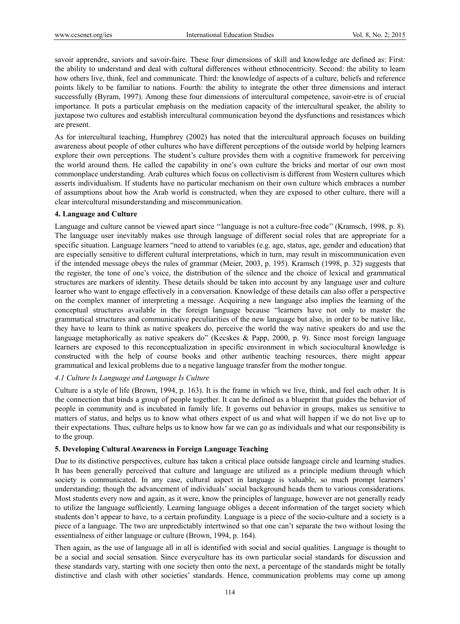savoir apprendre, saviors and savoir-faire. These four dimensions of skill and knowledge are defined as: First: the ability to understand and deal with cultural differences without ethnocentricity. Second: the ability to learn how others live, think, feel and communicate. Third: the knowledge of aspects of a culture, beliefs and reference points likely to be familiar to nations. Fourth: the ability to integrate the other three dimensions and interact successfully (Byram, 1997). Among these four dimensions of intercultural competence, savoir-etre is of crucial importance. It puts a particular emphasis on the mediation capacity of the intercultural speaker, the ability to juxtapose two cultures and establish intercultural communication beyond the dysfunctions and resistances which are present.

As for intercultural teaching, Humphrey (2002) has noted that the intercultural approach focuses on building awareness about people of other cultures who have different perceptions of the outside world by helping learners explore their own perceptions. The student's culture provides them with a cognitive framework for perceiving the world around them. He called the capability in one's own culture the bricks and mortar of our own most commonplace understanding. Arab cultures which focus on collectivism is different from Western cultures which asserts individualism. If students have no particular mechanism on their own culture which embraces a number of assumptions about how the Arab world is constructed, when they are exposed to other culture, there will a clear intercultural misunderstanding and miscommunication.

## **4. Language and Culture**

Language and culture cannot be viewed apart since ''language is not a culture-free code'' (Kramsch, 1998, p. 8). The language user inevitably makes use through language of different social roles that are appropriate for a specific situation. Language learners "need to attend to variables (e.g. age, status, age, gender and education) that are especially sensitive to different cultural interpretations, which in turn, may result in miscommunication even if the intended message obeys the rules of grammar (Meier, 2003, p. 195). Kramsch (1998, p. 32) suggests that the register, the tone of one's voice, the distribution of the silence and the choice of lexical and grammatical structures are markers of identity. These details should be taken into account by any language user and culture learner who want to engage effectively in a conversation. Knowledge of these details can also offer a perspective on the complex manner of interpreting a message. Acquiring a new language also implies the learning of the conceptual structures available in the foreign language because "learners have not only to master the grammatical structures and communicative peculiarities of the new language but also, in order to be native like, they have to learn to think as native speakers do, perceive the world the way native speakers do and use the language metaphorically as native speakers do" (Kecskes & Papp, 2000, p. 9). Since most foreign language learners are exposed to this reconceptualization in specific environment in which sociocultural knowledge is constructed with the help of course books and other authentic teaching resources, there might appear grammatical and lexical problems due to a negative language transfer from the mother tongue.

## *4.1 Culture Is Language and Language Is Culture*

Culture is a style of life (Brown, 1994, p. 163). It is the frame in which we live, think, and feel each other. It is the connection that binds a group of people together. It can be defined as a blueprint that guides the behavior of people in community and is incubated in family life. It governs out behavior in groups, makes us sensitive to matters of status, and helps us to know what others expect of us and what will happen if we do not live up to their expectations. Thus, culture helps us to know how far we can go as individuals and what our responsibility is to the group.

# **5. Developing Cultural Awareness in Foreign Language Teaching**

Due to its distinctive perspectives, culture has taken a critical place outside language circle and learning studies. It has been generally perceived that culture and language are utilized as a principle medium through which society is communicated. In any case, cultural aspect in language is valuable, so much prompt learners' understanding; though the advancement of individuals' social background heads them to various considerations. Most students every now and again, as it were, know the principles of language, however are not generally ready to utilize the language sufficiently. Learning language obliges a decent information of the target society which students don't appear to have, to a certain profundity. Language is a piece of the socio-culture and a society is a piece of a language. The two are unpredictably intertwined so that one can't separate the two without losing the essentialness of either language or culture (Brown, 1994, p. 164).

Then again, as the use of language all in all is identified with social and social qualities. Language is thought to be a social and social sensation. Since everyculture has its own particular social standards for discussion and these standards vary, starting with one society then onto the next, a percentage of the standards might be totally distinctive and clash with other societies' standards. Hence, communication problems may come up among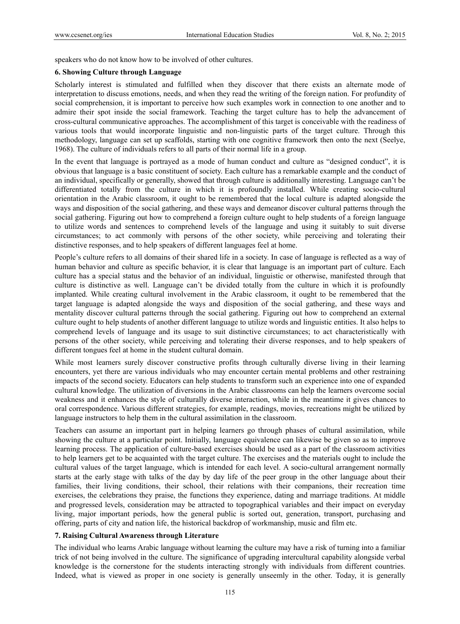speakers who do not know how to be involved of other cultures.

#### **6. Showing Culture through Language**

Scholarly interest is stimulated and fulfilled when they discover that there exists an alternate mode of interpretation to discuss emotions, needs, and when they read the writing of the foreign nation. For profundity of social comprehension, it is important to perceive how such examples work in connection to one another and to admire their spot inside the social framework. Teaching the target culture has to help the advancement of cross-cultural communicative approaches. The accomplishment of this target is conceivable with the readiness of various tools that would incorporate linguistic and non-linguistic parts of the target culture. Through this methodology, language can set up scaffolds, starting with one cognitive framework then onto the next (Seelye, 1968). The culture of individuals refers to all parts of their normal life in a group.

In the event that language is portrayed as a mode of human conduct and culture as "designed conduct", it is obvious that language is a basic constituent of society. Each culture has a remarkable example and the conduct of an individual, specifically or generally, showed that through culture is additionally interesting. Language can't be differentiated totally from the culture in which it is profoundly installed. While creating socio-cultural orientation in the Arabic classroom, it ought to be remembered that the local culture is adapted alongside the ways and disposition of the social gathering, and these ways and demeanor discover cultural patterns through the social gathering. Figuring out how to comprehend a foreign culture ought to help students of a foreign language to utilize words and sentences to comprehend levels of the language and using it suitably to suit diverse circumstances; to act commonly with persons of the other society, while perceiving and tolerating their distinctive responses, and to help speakers of different languages feel at home.

People's culture refers to all domains of their shared life in a society. In case of language is reflected as a way of human behavior and culture as specific behavior, it is clear that language is an important part of culture. Each culture has a special status and the behavior of an individual, linguistic or otherwise, manifested through that culture is distinctive as well. Language can't be divided totally from the culture in which it is profoundly implanted. While creating cultural involvement in the Arabic classroom, it ought to be remembered that the target language is adapted alongside the ways and disposition of the social gathering, and these ways and mentality discover cultural patterns through the social gathering. Figuring out how to comprehend an external culture ought to help students of another different language to utilize words and linguistic entities. It also helps to comprehend levels of language and its usage to suit distinctive circumstances; to act characteristically with persons of the other society, while perceiving and tolerating their diverse responses, and to help speakers of different tongues feel at home in the student cultural domain.

While most learners surely discover constructive profits through culturally diverse living in their learning encounters, yet there are various individuals who may encounter certain mental problems and other restraining impacts of the second society. Educators can help students to transform such an experience into one of expanded cultural knowledge. The utilization of diversions in the Arabic classrooms can help the learners overcome social weakness and it enhances the style of culturally diverse interaction, while in the meantime it gives chances to oral correspondence. Various different strategies, for example, readings, movies, recreations might be utilized by language instructors to help them in the cultural assimilation in the classroom.

Teachers can assume an important part in helping learners go through phases of cultural assimilation, while showing the culture at a particular point. Initially, language equivalence can likewise be given so as to improve learning process. The application of culture-based exercises should be used as a part of the classroom activities to help learners get to be acquainted with the target culture. The exercises and the materials ought to include the cultural values of the target language, which is intended for each level. A socio-cultural arrangement normally starts at the early stage with talks of the day by day life of the peer group in the other language about their families, their living conditions, their school, their relations with their companions, their recreation time exercises, the celebrations they praise, the functions they experience, dating and marriage traditions. At middle and progressed levels, consideration may be attracted to topographical variables and their impact on everyday living, major important periods, how the general public is sorted out, generation, transport, purchasing and offering, parts of city and nation life, the historical backdrop of workmanship, music and film etc.

## **7. Raising Cultural Awareness through Literature**

The individual who learns Arabic language without learning the culture may have a risk of turning into a familiar trick of not being involved in the culture. The significance of upgrading intercultural capability alongside verbal knowledge is the cornerstone for the students interacting strongly with individuals from different countries. Indeed, what is viewed as proper in one society is generally unseemly in the other. Today, it is generally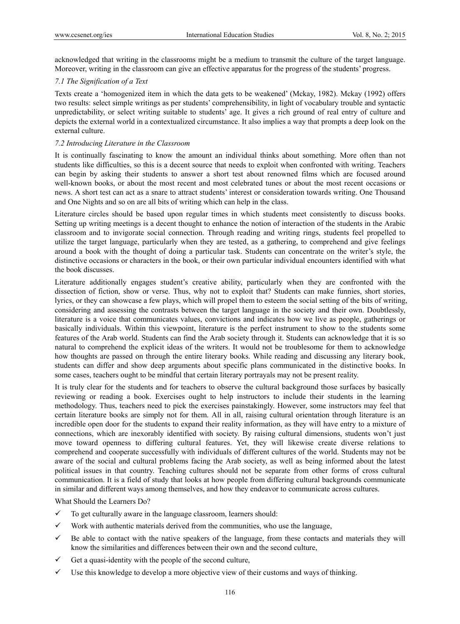acknowledged that writing in the classrooms might be a medium to transmit the culture of the target language. Moreover, writing in the classroom can give an effective apparatus for the progress of the students' progress.

## *7.1 The Signification of a Text*

Texts create a 'homogenized item in which the data gets to be weakened' (Mckay, 1982). Mckay (1992) offers two results: select simple writings as per students' comprehensibility, in light of vocabulary trouble and syntactic unpredictability, or select writing suitable to students' age. It gives a rich ground of real entry of culture and depicts the external world in a contextualized circumstance. It also implies a way that prompts a deep look on the external culture.

## *7.2 Introducing Literature in the Classroom*

It is continually fascinating to know the amount an individual thinks about something. More often than not students like difficulties, so this is a decent source that needs to exploit when confronted with writing. Teachers can begin by asking their students to answer a short test about renowned films which are focused around well-known books, or about the most recent and most celebrated tunes or about the most recent occasions or news. A short test can act as a snare to attract students' interest or consideration towards writing. One Thousand and One Nights and so on are all bits of writing which can help in the class.

Literature circles should be based upon regular times in which students meet consistently to discuss books. Setting up writing meetings is a decent thought to enhance the notion of interaction of the students in the Arabic classroom and to invigorate social connection. Through reading and writing rings, students feel propelled to utilize the target language, particularly when they are tested, as a gathering, to comprehend and give feelings around a book with the thought of doing a particular task. Students can concentrate on the writer's style, the distinctive occasions or characters in the book, or their own particular individual encounters identified with what the book discusses.

Literature additionally engages student's creative ability, particularly when they are confronted with the dissection of fiction, show or verse. Thus, why not to exploit that? Students can make funnies, short stories, lyrics, or they can showcase a few plays, which will propel them to esteem the social setting of the bits of writing, considering and assessing the contrasts between the target language in the society and their own. Doubtlessly, literature is a voice that communicates values, convictions and indicates how we live as people, gatherings or basically individuals. Within this viewpoint, literature is the perfect instrument to show to the students some features of the Arab world. Students can find the Arab society through it. Students can acknowledge that it is so natural to comprehend the explicit ideas of the writers. It would not be troublesome for them to acknowledge how thoughts are passed on through the entire literary books. While reading and discussing any literary book, students can differ and show deep arguments about specific plans communicated in the distinctive books. In some cases, teachers ought to be mindful that certain literary portrayals may not be present reality.

It is truly clear for the students and for teachers to observe the cultural background those surfaces by basically reviewing or reading a book. Exercises ought to help instructors to include their students in the learning methodology. Thus, teachers need to pick the exercises painstakingly. However, some instructors may feel that certain literature books are simply not for them. All in all, raising cultural orientation through literature is an incredible open door for the students to expand their reality information, as they will have entry to a mixture of connections, which are inexorably identified with society. By raising cultural dimensions, students won't just move toward openness to differing cultural features. Yet, they will likewise create diverse relations to comprehend and cooperate successfully with individuals of different cultures of the world. Students may not be aware of the social and cultural problems facing the Arab society, as well as being informed about the latest political issues in that country. Teaching cultures should not be separate from other forms of cross cultural communication. It is a field of study that looks at how people from differing cultural backgrounds communicate in similar and different ways among themselves, and how they endeavor to communicate across cultures.

What Should the Learners Do?

- $\checkmark$  To get culturally aware in the language classroom, learners should:
- $\checkmark$  Work with authentic materials derived from the communities, who use the language,
- $\checkmark$  Be able to contact with the native speakers of the language, from these contacts and materials they will know the similarities and differences between their own and the second culture,
- Get a quasi-identity with the people of the second culture,
- Use this knowledge to develop a more objective view of their customs and ways of thinking.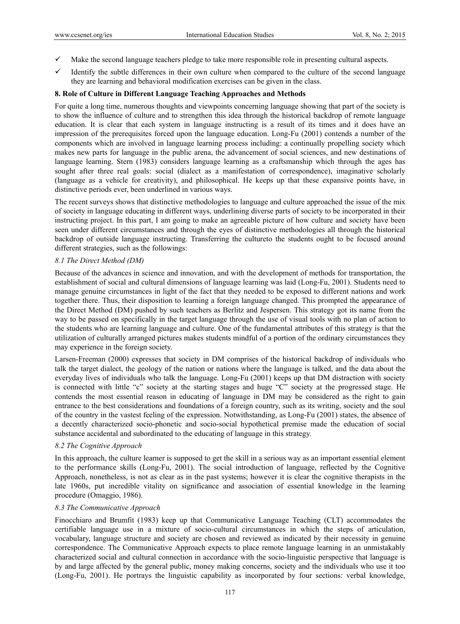- $\checkmark$  Make the second language teachers pledge to take more responsible role in presenting cultural aspects.
- $\checkmark$  Identify the subtle differences in their own culture when compared to the culture of the second language they are learning and behavioral modification exercises can be given in the class.

## **8. Role of Culture in Different Language Teaching Approaches and Methods**

For quite a long time, numerous thoughts and viewpoints concerning language showing that part of the society is to show the influence of culture and to strengthen this idea through the historical backdrop of remote language education. It is clear that each system in language instructing is a result of its times and it does have an impression of the prerequisites forced upon the language education. Long-Fu (2001) contends a number of the components which are involved in language learning process including: a continually propelling society which makes new parts for language in the public arena, the advancement of social sciences, and new destinations of language learning. Stern (1983) considers language learning as a craftsmanship which through the ages has sought after three real goals: social (dialect as a manifestation of correspondence), imaginative scholarly (language as a vehicle for creativity), and philosophical. He keeps up that these expansive points have, in distinctive periods ever, been underlined in various ways.

The recent surveys shows that distinctive methodologies to language and culture approached the issue of the mix of society in language educating in different ways, underlining diverse parts of society to be incorporated in their instructing project. In this part, I am going to make an agreeable picture of how culture and society have been seen under different circumstances and through the eyes of distinctive methodologies all through the historical backdrop of outside language instructing. Transferring the cultureto the students ought to be focused around different strategies, such as the followings:

## *8.1 The Direct Method (DM)*

Because of the advances in science and innovation, and with the development of methods for transportation, the establishment of social and cultural dimensions of language learning was laid (Long-Fu, 2001). Students need to manage genuine circumstances in light of the fact that they needed to be exposed to different nations and work together there. Thus, their disposition to learning a foreign language changed. This prompted the appearance of the Direct Method (DM) pushed by such teachers as Berlitz and Jespersen. This strategy got its name from the way to be passed on specifically in the target language through the use of visual tools with no plan of action to the students who are learning language and culture. One of the fundamental attributes of this strategy is that the utilization of culturally arranged pictures makes students mindful of a portion of the ordinary circumstances they may experience in the foreign society.

Larsen-Freeman (2000) expresses that society in DM comprises of the historical backdrop of individuals who talk the target dialect, the geology of the nation or nations where the language is talked, and the data about the everyday lives of individuals who talk the language. Long-Fu (2001) keeps up that DM distraction with society is connected with little "c" society at the starting stages and huge "C" society at the progressed stage. He contends the most essential reason in educating of language in DM may be considered as the right to gain entrance to the best considerations and foundations of a foreign country, such as its writing, society and the soul of the country in the vastest feeling of the expression. Notwithstanding, as Long-Fu (2001) states, the absence of a decently characterized socio-phonetic and socio-social hypothetical premise made the education of social substance accidental and subordinated to the educating of language in this strategy.

## *8.2 The Cognitive Approach*

In this approach, the culture learner is supposed to get the skill in a serious way as an important essential element to the performance skills (Long-Fu, 2001). The social introduction of language, reflected by the Cognitive Approach, nonetheless, is not as clear as in the past systems; however it is clear the cognitive therapists in the late 1960s, put incredible vitality on significance and association of essential knowledge in the learning procedure (Omaggio, 1986).

## *8.3 The Communicative Approach*

Finocchiaro and Brumfit (1983) keep up that Communicative Language Teaching (CLT) accommodates the certifiable language use in a mixture of socio-cultural circumstances in which the steps of articulation, vocabulary, language structure and society are chosen and reviewed as indicated by their necessity in genuine correspondence. The Communicative Approach expects to place remote language learning in an unmistakably characterized social and cultural connection in accordance with the socio-linguistic perspective that language is by and large affected by the general public, money making concerns, society and the individuals who use it too (Long-Fu, 2001). He portrays the linguistic capability as incorporated by four sections: verbal knowledge,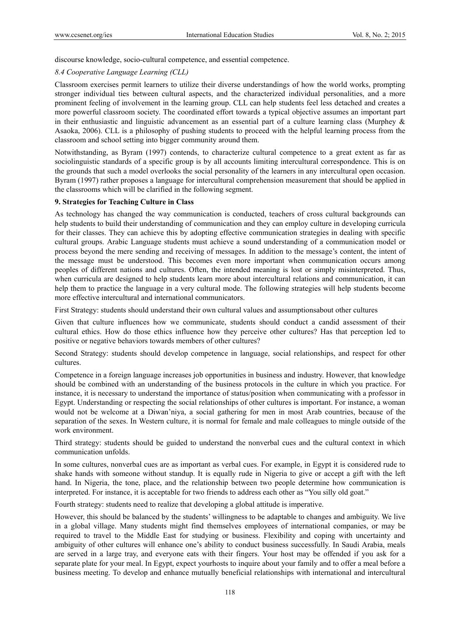discourse knowledge, socio-cultural competence, and essential competence.

## *8.4 Cooperative Language Learning (CLL)*

Classroom exercises permit learners to utilize their diverse understandings of how the world works, prompting stronger individual ties between cultural aspects, and the characterized individual personalities, and a more prominent feeling of involvement in the learning group. CLL can help students feel less detached and creates a more powerful classroom society. The coordinated effort towards a typical objective assumes an important part in their enthusiastic and linguistic advancement as an essential part of a culture learning class (Murphey  $\&$ Asaoka, 2006). CLL is a philosophy of pushing students to proceed with the helpful learning process from the classroom and school setting into bigger community around them.

Notwithstanding, as Byram (1997) contends, to characterize cultural competence to a great extent as far as sociolinguistic standards of a specific group is by all accounts limiting intercultural correspondence. This is on the grounds that such a model overlooks the social personality of the learners in any intercultural open occasion. Byram (1997) rather proposes a language for intercultural comprehension measurement that should be applied in the classrooms which will be clarified in the following segment.

#### **9. Strategies for Teaching Culture in Class**

As technology has changed the way communication is conducted, teachers of cross cultural backgrounds can help students to build their understanding of communication and they can employ culture in developing curricula for their classes. They can achieve this by adopting effective communication strategies in dealing with specific cultural groups. Arabic Language students must achieve a sound understanding of a communication model or process beyond the mere sending and receiving of messages. In addition to the message's content, the intent of the message must be understood. This becomes even more important when communication occurs among peoples of different nations and cultures. Often, the intended meaning is lost or simply misinterpreted. Thus, when curricula are designed to help students learn more about intercultural relations and communication, it can help them to practice the language in a very cultural mode. The following strategies will help students become more effective intercultural and international communicators.

First Strategy: students should understand their own cultural values and assumptionsabout other cultures

Given that culture influences how we communicate, students should conduct a candid assessment of their cultural ethics. How do those ethics influence how they perceive other cultures? Has that perception led to positive or negative behaviors towards members of other cultures?

Second Strategy: students should develop competence in language, social relationships, and respect for other cultures.

Competence in a foreign language increases job opportunities in business and industry. However, that knowledge should be combined with an understanding of the business protocols in the culture in which you practice. For instance, it is necessary to understand the importance of status/position when communicating with a professor in Egypt. Understanding or respecting the social relationships of other cultures is important. For instance, a woman would not be welcome at a Diwan'niya, a social gathering for men in most Arab countries, because of the separation of the sexes. In Western culture, it is normal for female and male colleagues to mingle outside of the work environment.

Third strategy: students should be guided to understand the nonverbal cues and the cultural context in which communication unfolds.

In some cultures, nonverbal cues are as important as verbal cues. For example, in Egypt it is considered rude to shake hands with someone without standup. It is equally rude in Nigeria to give or accept a gift with the left hand. In Nigeria, the tone, place, and the relationship between two people determine how communication is interpreted. For instance, it is acceptable for two friends to address each other as "You silly old goat."

Fourth strategy: students need to realize that developing a global attitude is imperative.

However, this should be balanced by the students' willingness to be adaptable to changes and ambiguity. We live in a global village. Many students might find themselves employees of international companies, or may be required to travel to the Middle East for studying or business. Flexibility and coping with uncertainty and ambiguity of other cultures will enhance one's ability to conduct business successfully. In Saudi Arabia, meals are served in a large tray, and everyone eats with their fingers. Your host may be offended if you ask for a separate plate for your meal. In Egypt, expect yourhosts to inquire about your family and to offer a meal before a business meeting. To develop and enhance mutually beneficial relationships with international and intercultural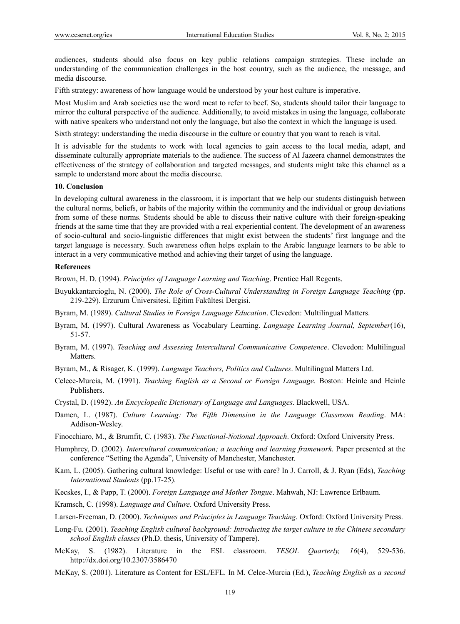audiences, students should also focus on key public relations campaign strategies. These include an understanding of the communication challenges in the host country, such as the audience, the message, and media discourse.

Fifth strategy: awareness of how language would be understood by your host culture is imperative.

Most Muslim and Arab societies use the word meat to refer to beef. So, students should tailor their language to mirror the cultural perspective of the audience. Additionally, to avoid mistakes in using the language, collaborate with native speakers who understand not only the language, but also the context in which the language is used.

Sixth strategy: understanding the media discourse in the culture or country that you want to reach is vital.

It is advisable for the students to work with local agencies to gain access to the local media, adapt, and disseminate culturally appropriate materials to the audience. The success of Al Jazeera channel demonstrates the effectiveness of the strategy of collaboration and targeted messages, and students might take this channel as a sample to understand more about the media discourse.

#### **10. Conclusion**

In developing cultural awareness in the classroom, it is important that we help our students distinguish between the cultural norms, beliefs, or habits of the majority within the community and the individual or group deviations from some of these norms. Students should be able to discuss their native culture with their foreign-speaking friends at the same time that they are provided with a real experiential content. The development of an awareness of socio-cultural and socio-linguistic differences that might exist between the students' first language and the target language is necessary. Such awareness often helps explain to the Arabic language learners to be able to interact in a very communicative method and achieving their target of using the language.

#### **References**

Brown, H. D. (1994). *Principles of Language Learning and Teaching*. Prentice Hall Regents.

- Buyukkantarcioglu, N. (2000). *The Role of Cross-Cultural Understanding in Foreign Language Teaching* (pp. 219-229). Erzurum Üniversitesi, Eğitim Fakültesi Dergisi.
- Byram, M. (1989). *Cultural Studies in Foreign Language Education*. Clevedon: Multilingual Matters.
- Byram, M. (1997). Cultural Awareness as Vocabulary Learning. *Language Learning Journal, September*(16), 51-57.
- Byram, M. (1997). *Teaching and Assessing Intercultural Communicative Competence*. Clevedon: Multilingual Matters.
- Byram, M., & Risager, K. (1999). *Language Teachers, Politics and Cultures*. Multilingual Matters Ltd.
- Celece-Murcia, M. (1991). *Teaching English as a Second or Foreign Language*. Boston: Heinle and Heinle Publishers.
- Crystal, D. (1992). *An Encyclopedic Dictionary of Language and Languages*. Blackwell, USA.
- Damen, L. (1987). *Culture Learning: The Fifth Dimension in the Language Classroom Reading*. MA: Addison-Wesley.
- Finocchiaro, M., & Brumfit, C. (1983). *The Functional-Notional Approach*. Oxford: Oxford University Press.
- Humphrey, D. (2002). *Intercultural communication; a teaching and learning framework*. Paper presented at the conference "Setting the Agenda", University of Manchester, Manchester.
- Kam, L. (2005). Gathering cultural knowledge: Useful or use with care? In J. Carroll, & J. Ryan (Eds), *Teaching International Students* (pp.17-25).
- Kecskes, I., & Papp, T. (2000). *Foreign Language and Mother Tongue*. Mahwah, NJ: Lawrence Erlbaum.
- Kramsch, C. (1998). *Language and Culture*. Oxford University Press.

Larsen-Freeman, D. (2000). *Techniques and Principles in Language Teaching*. Oxford: Oxford University Press.

- Long-Fu. (2001). *Teaching English cultural background: Introducing the target culture in the Chinese secondary school English classes* (Ph.D. thesis, University of Tampere).
- McKay, S. (1982). Literature in the ESL classroom. *TESOL Quarterly, 16*(4), 529-536. http://dx.doi.org/10.2307/3586470
- McKay, S. (2001). Literature as Content for ESL/EFL. In M. Celce-Murcia (Ed.), *Teaching English as a second*